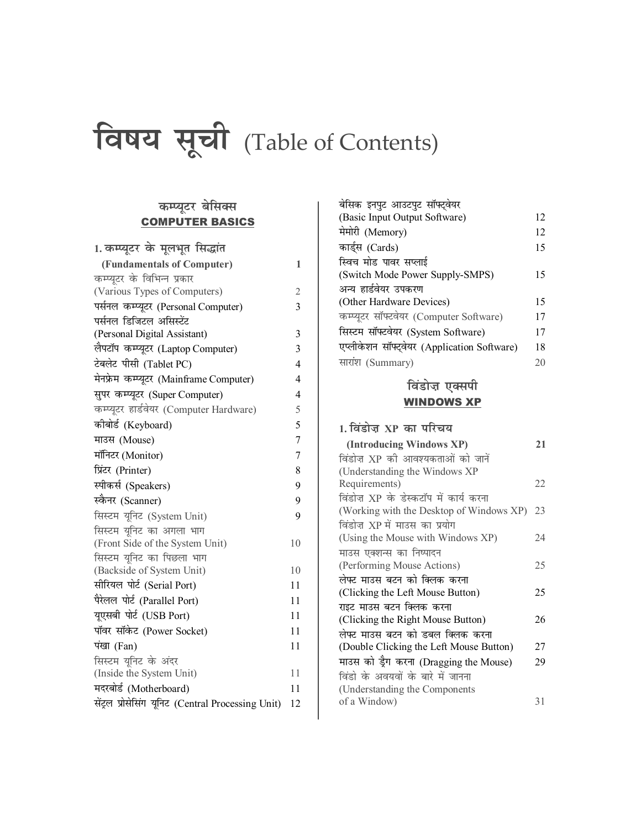# विषय सूची (Table of Contents)

# कम्प्यूटर बेसिक्स **COMPUTER BASICS**

| 1. कम्प्यूटर के मूलभूत सिद्धांत                    |                |
|----------------------------------------------------|----------------|
| (Fundamentals of Computer)                         | 1              |
| कम्प्यूटर के विभिन्न प्रकार                        |                |
| (Various Types of Computers)                       | 2              |
| पर्सनल कम्प्यूटर (Personal Computer)               | 3              |
| पर्सनल डिजिटल असिस्टेंट                            |                |
| (Personal Digital Assistant)                       | 3              |
| लैपटॉप कम्प्यूटर (Laptop Computer)                 | 3              |
| टेबलेट पीसी (Tablet PC)                            | 4              |
| मेनफ्रेम कम्प्यूटर (Mainframe Computer)            | 4              |
| सुपर कम्प्यूटर (Super Computer)                    | 4              |
| कम्प्यूटर हार्डवेयर (Computer Hardware)            | 5              |
| कीबोर्ड (Keyboard)                                 | 5              |
| माउस (Mouse)                                       | $\overline{7}$ |
| मॉनिटर (Monitor)                                   | 7              |
| प्रिंटर (Printer)                                  | 8              |
| स्पीकर्स (Speakers)                                | 9              |
| स्कैनर (Scanner)                                   | 9              |
| सिस्टम यूनिट (System Unit)                         | 9              |
| सिस्टम यूनिट का अगला भाग                           |                |
| (Front Side of the System Unit)                    | 10             |
| सिस्टम यूनिट का पिछला भाग                          |                |
| (Backside of System Unit)                          | 10             |
| सीरियल पोर्ट (Serial Port)                         | 11             |
| पैरेलल पोर्ट (Parallel Port)                       | 11             |
| यूएसबी पोर्ट (USB Port)                            | 11             |
| पॉवर सॉकेट (Power Socket)                          | 11             |
| पंखा (Fan)                                         | 11             |
| सिस्टम यूनिट के अंदर                               |                |
| (Inside the System Unit)                           | 11             |
| मदरबोर्ड (Motherboard)                             | 11             |
| सेंट्रल प्रोसेसिंग यूनिट (Central Processing Unit) | 12             |

| बेसिक इनपुट आउटपुट सॉफ्ट्वेयर               |    |
|---------------------------------------------|----|
| (Basic Input Output Software)               | 12 |
| मेमोरी (Memory)                             | 12 |
| कार्ड्स (Cards)                             | 15 |
| स्विच मोड पावर सप्लाई                       |    |
| (Switch Mode Power Supply-SMPS)             | 15 |
| अन्य हार्डवेयर उपकरण                        |    |
| (Other Hardware Devices)                    | 15 |
| कम्प्यूटर सॉफ्टवेयर (Computer Software)     | 17 |
| सिस्टम सॉफ्टवेयर (System Software)          | 17 |
| एप्लीकेशन सॉफ्ट्वेयर (Application Software) | 18 |
| सारांश (Summary)                            | 20 |
|                                             |    |

# विंडोज़ एक्सपी **WINDOWS XP**

| 1. विंडोज XP का परिचय                    |    |
|------------------------------------------|----|
| (Introducing Windows XP)                 | 21 |
| विंडोज़ XP की आवश्यकताओं को जानें        |    |
| (Understanding the Windows XP            |    |
| Requirements)                            | 22 |
| विंडोज़ XP के डेस्कटॉप में कार्य करना    |    |
| (Working with the Desktop of Windows XP) | 23 |
| विंडोज़ XP में माउस का प्रयोग            |    |
| (Using the Mouse with Windows XP)        | 24 |
| माउस एक्शन्स का निष्पादन                 |    |
| (Performing Mouse Actions)               | 25 |
| लेफ्ट माउस बटन को क्लिक करना             |    |
| (Clicking the Left Mouse Button)         | 25 |
| राइट माउस बटन क्लिक करना                 |    |
| (Clicking the Right Mouse Button)        | 26 |
| लेफ्ट माउस बटन को डबल क्लिक करना         |    |
| (Double Clicking the Left Mouse Button)  | 27 |
| माउस को ड्रैग करना (Dragging the Mouse)  | 29 |
| विंडो के अवयवों के बारे में जानना        |    |
| (Understanding the Components)           |    |
| of a Window)                             | 31 |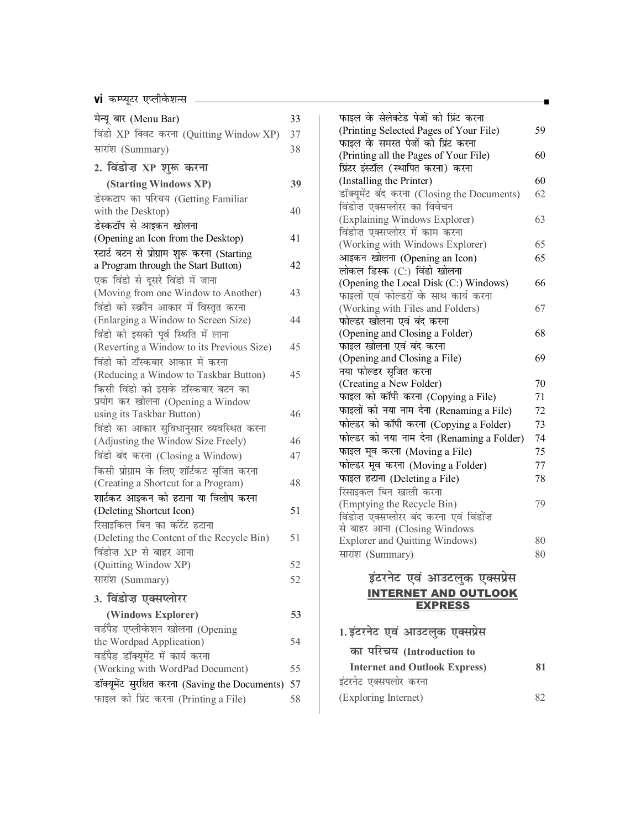#### **vi** कम्प्यूटर एप्लीकेशन्स <sub>———————————————————————————</sub>

| मेन्यू बार (Menu Bar)                                          | 33 |
|----------------------------------------------------------------|----|
| विंडो XP क्विट करना (Quitting Window XP)                       | 37 |
| सारांश (Summary)                                               | 38 |
| 2. विंडोज़ XP शुरू करना                                        |    |
| (Starting Windows XP)                                          | 39 |
| डेस्कटाप का परिचय (Getting Familiar                            |    |
| with the Desktop)                                              | 40 |
| डेस्कटॉप से आइकन खोलना                                         |    |
| (Opening an Icon from the Desktop)                             | 41 |
| स्टार्ट बटन से प्रोग्राम शुरू करना (Starting                   |    |
| a Program through the Start Button)                            | 42 |
| एक विंडो से दूसरे विंडो में जाना                               |    |
| (Moving from one Window to Another)                            | 43 |
| विंडो को स्क्रीन आकार में विस्तृत करना                         |    |
| (Enlarging a Window to Screen Size)                            | 44 |
| विंडो को इसकी पूर्व स्थिति में लाना                            |    |
| (Reverting a Window to its Previous Size)                      | 45 |
| विंडो को टॉस्कबार आकार में करना                                |    |
| (Reducing a Window to Taskbar Button)                          | 45 |
| किसी विंडो को इसके टॉस्कबार बटन का                             |    |
| प्रयोग कर खोलना (Opening a Window<br>using its Taskbar Button) | 46 |
| विंडो का आकार सुविधानुसार व्यवस्थित करना                       |    |
| (Adjusting the Window Size Freely)                             | 46 |
| विंडो बंद करना (Closing a Window)                              | 47 |
| किसी प्रोग्राम के लिए शॉर्टकट सृजित करना                       |    |
| (Creating a Shortcut for a Program)                            | 48 |
| शार्टकट आइकन को हटाना या विलोप करना                            |    |
| (Deleting Shortcut Icon)                                       | 51 |
| रिसाइकिल बिन का कंटेंट हटाना                                   |    |
| (Deleting the Content of the Recycle Bin)                      | 51 |
| विंडोज़ XP से बाहर आना                                         |    |
| (Quitting Window XP)                                           | 52 |
| सारांश (Summary)                                               | 52 |
| 3. विंडोज़ एक्सप्लोरर                                          |    |
| (Windows Explorer)                                             | 53 |
| वर्डपैड एप्लीकेशन खोलना (Opening                               |    |
| the Wordpad Application)                                       | 54 |
| वर्डपैड डॉक्यूमेंट में कार्य करना                              |    |
| (Working with WordPad Document)                                | 55 |
| डॉक्यूमेंट सुरक्षित करना (Saving the Documents)                | 57 |
| फाइल को प्रिंट करना (Printing a File)                          | 58 |
|                                                                |    |

| फाइल के सेलेक्टेड पेजों को प्रिंट करना      |    |
|---------------------------------------------|----|
| (Printing Selected Pages of Your File)      | 59 |
| फाइल के समस्त पेजों को प्रिंट करना          |    |
| (Printing all the Pages of Your File)       | 60 |
| प्रिंटर इंस्टॉल (स्थापित करना) करना         |    |
| (Installing the Printer)                    | 60 |
| डॉक्यूमेंट बंद करना (Closing the Documents) | 62 |
| विंडोज़ एक्सप्लोरर का विवेचन                |    |
| (Explaining Windows Explorer)               | 63 |
| विंडोज़ एक्सप्लोरर में काम करना             |    |
| (Working with Windows Explorer)             | 65 |
| आइकन खोलना (Opening an Icon)                | 65 |
| लोकल डिस्क (C:) विंडो खोलना                 |    |
| (Opening the Local Disk (C:) Windows)       | 66 |
| फाइलों एवं फोल्डरों के साथ कार्य करना       |    |
| (Working with Files and Folders)            | 67 |
| फोल्डर खोलना एवं बंद करना                   |    |
| (Opening and Closing a Folder)              | 68 |
| फाइल खोलना एवं बंद करना                     |    |
| (Opening and Closing a File)                | 69 |
| नया फोल्डर सृजित करना                       |    |
| (Creating a New Folder)                     | 70 |
| फाइल को कॉपी करना (Copying a File)          | 71 |
| फाइलों को नया नाम देना (Renaming a File)    | 72 |
| फोल्डर को कॉपी करना (Copying a Folder)      | 73 |
| फोल्डर को नया नाम देना (Renaming a Folder)  | 74 |
| फाइल मूव करना (Moving a File)               | 75 |
| फोल्डर मूव करना (Moving a Folder)           | 77 |
| फाइल हटाना (Deleting a File)                | 78 |
| रिसाइकल बिन खाली करना                       |    |
| (Emptying the Recycle Bin)                  | 79 |
| विंडोज एक्सप्लोरर बंद करना एवं विंडोंज      |    |
| से बाहर आना (Closing Windows                |    |
| <b>Explorer and Quitting Windows)</b>       | 80 |
| सारांश (Summary)                            | 80 |
|                                             |    |

#### इंटरनेट एवं आउटलुक एक्सप्रेस INTERNET AND OUTLOOK EXPRESS

| 1. इंटरनेट एवं आउटलुक एक्सप्रेस      |    |
|--------------------------------------|----|
| का परिचय (Introduction to            |    |
| <b>Internet and Outlook Express)</b> | 81 |
| इंटरनेट एक्सपलोर करना                |    |
| (Exploring Internet)                 |    |
|                                      |    |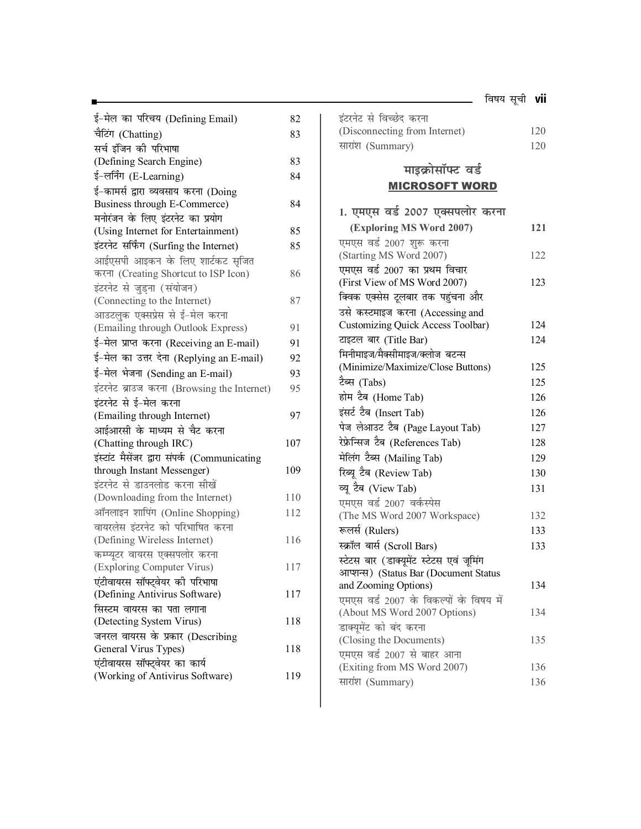| 82<br>83 |
|----------|
|          |
|          |
|          |
| 83       |
| 84       |
|          |
| 84       |
|          |
| 85       |
| 85       |
|          |
| 86       |
|          |
| 87       |
|          |
| 91       |
| 91       |
| 92       |
| 93       |
| 95       |
|          |
| 97       |
|          |
| 107      |
|          |
| 109      |
|          |
| 110      |
| 112      |
|          |
| 116      |
|          |
| 117      |
|          |
| 117      |
|          |
| 118      |
|          |
| 118      |
|          |
| 119      |
|          |

| इंटरनेट से विच्छेद करना       |     |
|-------------------------------|-----|
| (Disconnecting from Internet) | 120 |
| सारांश (Summary)              | 120 |

# **माइक्रोसॉफ्ट** वर्ड

### MICROSOFT WORD

| 1. एमएस वर्ड 2007 एक्सपलोर करना          |     |
|------------------------------------------|-----|
| (Exploring MS Word 2007)                 | 121 |
| एमएस वर्ड 2007 शुरू करना                 |     |
| (Starting MS Word 2007)                  | 122 |
| एमएस वर्ड 2007 का प्रथम विचार            |     |
| (First View of MS Word 2007)             | 123 |
| क्विक एक्सेस टूलबार तक पहुंचना और        |     |
| उसे कस्टमाइज करना (Accessing and         |     |
| <b>Customizing Quick Access Toolbar)</b> | 124 |
| टाइटल बार (Title Bar)                    | 124 |
| मिनीमाइज/मैक्सीमाइज/क्लोज बटन्स          |     |
| (Minimize/Maximize/Close Buttons)        | 125 |
| टैब्स (Tabs)                             | 125 |
| होम टैब (Home Tab)                       | 126 |
| इंसर्ट टैब (Insert Tab)                  | 126 |
| पेज लेआउट टैब (Page Layout Tab)          | 127 |
| रेफ्रेन्सिज टैब (References Tab)         | 128 |
| मेलिंग टैब्स (Mailing Tab)               | 129 |
| रिब्यू टैब (Review Tab)                  | 130 |
| व्यू टैब (View Tab)                      | 131 |
| एमएस वर्ड 2007 वर्कस्पेस                 |     |
| (The MS Word 2007 Workspace)             | 132 |
| रूलर्स (Rulers)                          | 133 |
| स्क्रॉल बार्स (Scroll Bars)              | 133 |
| स्टेटस बार (डाक्यूमेंट स्टेटस एवं जूमिंग |     |
| आप्शन्स) (Status Bar (Document Status    |     |
| and Zooming Options)                     | 134 |
| एमएस वर्ड 2007 के विकल्पों के विषय में   |     |
| (About MS Word 2007 Options)             | 134 |
| डाक्यूमेंट को बंद करना                   |     |
| (Closing the Documents)                  | 135 |
| एमएस वर्ड 2007 से बाहर आना               | 136 |
| (Exiting from MS Word 2007)              |     |
| सारांश (Summary)                         | 136 |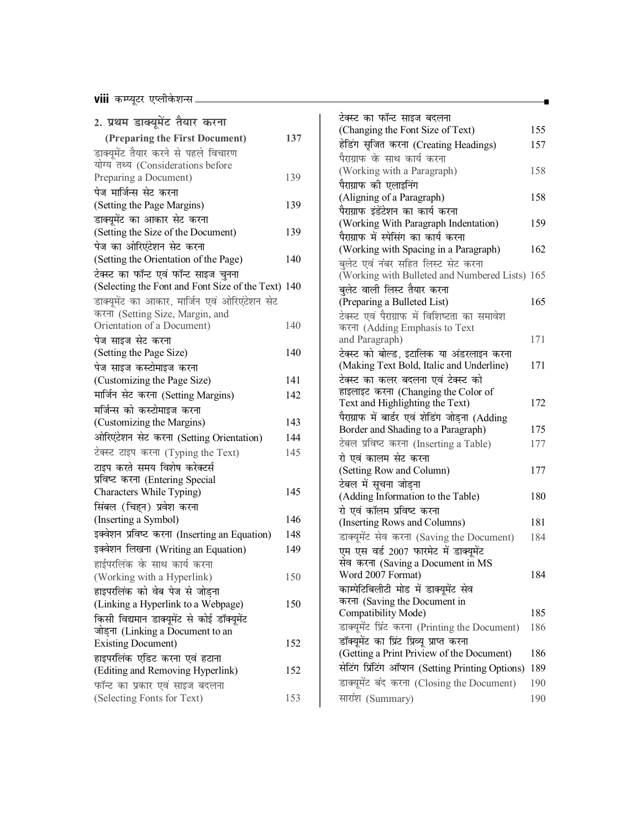**viii** dEI;wVj ,IyhosQ'kUl

| 2. प्रथम डाक्यूमेंट तैयार करना                                            |     | टेक्स्ट का फं            |
|---------------------------------------------------------------------------|-----|--------------------------|
|                                                                           |     | (Changing                |
| (Preparing the First Document)                                            | 137 | हेडिंग सृजित             |
| डाक्यूमेंट तैयार करने से पहले विचारण<br>योग्य तथ्य (Considerations before |     | पैराग्राफ के '           |
| Preparing a Document)                                                     | 139 | (Working v               |
| पेज मार्जिन्स सेट करना                                                    |     | पैराग्राफ की             |
| (Setting the Page Margins)                                                | 139 | (Aligning c              |
|                                                                           |     | पैराग्राफ इंडेंटे        |
| डाक्यूमेंट का आकार सेट करना                                               | 139 | (Working \               |
| (Setting the Size of the Document)                                        |     | पैराग्राफ में स          |
| पेज का ओरिएंटेशन सेट करना                                                 | 140 | (Working v               |
| (Setting the Orientation of the Page)                                     |     | बलेट एवं नं              |
| टेक्स्ट का फॉन्ट एवं फॉन्ट साइज चुनना                                     |     | (Working v               |
| (Selecting the Font and Font Size of the Text) 140                        |     | बुलेट वाली '             |
| डाक्यूमेंट का आकार, मार्जिन एवं ओरिएंटेशन सेट                             |     | (Preparing               |
| करना (Setting Size, Margin, and                                           |     | टेक्स्ट एवं पै           |
| Orientation of a Document)                                                | 140 | करना (Add                |
| पेज साइज सेट करना                                                         |     | and Paragra              |
| (Setting the Page Size)                                                   | 140 | टेक्स्ट को बो            |
| पेज साइज कस्टोमाइज करना                                                   |     | (Making To               |
| (Customizing the Page Size)                                               | 141 | टेक्स्ट का क             |
| मार्जिन सेट करना (Setting Margins)                                        | 142 | हाइलाइट कर<br>Text and H |
| मर्जिन्स को कस्टोमाइज करना                                                |     | पैराग्राफ में ब          |
| (Customizing the Margins)                                                 | 143 | Border and               |
| ओरिएंटेशन सेट करना (Setting Orientation)                                  | 144 | टेबल प्रविष्ट            |
| टेक्स्ट टाइप करना (Typing the Text)                                       | 145 | रो एवं कालग              |
| टाइप करते समय विशेष करेक्टर्स                                             |     | (Setting Ro              |
| प्रविष्ट करना (Entering Special                                           |     | टेबल में सूच             |
| Characters While Typing)                                                  | 145 | (Adding In:              |
| सिंबल (चिहन) प्रवेश करना                                                  |     | रो एवं कॉलग              |
| (Inserting a Symbol)                                                      | 146 | (Inserting F             |
| इक्वेशन प्रविष्ट करना (Inserting an Equation)                             | 148 | डाक्यूमेंट सेव           |
| इक्वेशन लिखना (Writing an Equation)                                       | 149 | एम एस वर्ड               |
| हाईपरलिंक के साथ कार्य करना                                               |     | सेव करना ('              |
| (Working with a Hyperlink)                                                | 150 | <b>Word 2007</b>         |
| हाइपरलिंक को वेब पेज से जोड़ना                                            |     | काम्पेटिबिली             |
| (Linking a Hyperlink to a Webpage)                                        | 150 | करना (Savi               |
| किसी विद्यमान डाक्यूमेंट से कोई डॉक्यूमेंट                                |     | Compatibil               |
| जोड़ना (Linking a Document to an                                          |     | डाक्यूमेंट प्रिंत        |
| <b>Existing Document)</b>                                                 | 152 | डॉक्यूमेंट का            |
| हाइपरलिंक एडिट करना एवं हटाना                                             |     | (Getting a I             |
| (Editing and Removing Hyperlink)                                          | 152 | सेटिंग प्रिंटिंग         |
| फॉन्ट का प्रकार एवं साइज बदलना                                            |     | डाक्यूमेंट बंद           |
| (Selecting Fonts for Text)                                                | 153 | सारांश (Sun              |
|                                                                           |     |                          |

| टेक्स्ट का फॉन्ट साइज बदलना                       |     |
|---------------------------------------------------|-----|
| (Changing the Font Size of Text)                  | 155 |
| हेडिंग सृजित करना (Creating Headings)             | 157 |
| पैराग्राफ के साथ कार्य करना                       |     |
| (Working with a Paragraph)                        | 158 |
| पैराग्राफ की एलाइनिंग                             |     |
| (Aligning of a Paragraph)                         | 158 |
| पैराग्राफ इंडेंटेशन का कार्य करना                 |     |
| (Working With Paragraph Indentation)              | 159 |
| पैराग्राफ में स्पेसिंग का कार्य करना              |     |
| (Working with Spacing in a Paragraph)             | 162 |
| बलेट एवं नंबर सहित लिस्ट सेट करना                 |     |
| (Working with Bulleted and Numbered Lists) 165    |     |
| बुलेट वाली लिस्ट तैयार करना                       |     |
| (Preparing a Bulleted List)                       | 165 |
| टेक्स्ट एवं पैराग्राफ में विशिष्टता का समावेश     |     |
| करना (Adding Emphasis to Text                     |     |
| and Paragraph)                                    | 171 |
| टेक्स्ट को बोल्ड, इटालिक या अंडरलाइन करना         |     |
| (Making Text Bold, Italic and Underline)          | 171 |
| टेक्स्ट का कलर बदलना एवं टेक्स्ट को               |     |
| हाइलाइट करना (Changing the Color of               |     |
| Text and Highlighting the Text)                   | 172 |
| पैराग्राफ में बार्डर एवं शेडिंग जोड़ना (Adding    |     |
| Border and Shading to a Paragraph)                | 175 |
| टेबल प्रविष्ट करना (Inserting a Table)            | 177 |
| रो एवं कालम सेट करना                              |     |
| (Setting Row and Column)                          | 177 |
| टेबल में सूचना जोड़ना                             |     |
| (Adding Information to the Table)                 | 180 |
| रो एवं कॉलम प्रविष्ट करना                         |     |
| (Inserting Rows and Columns)                      | 181 |
| डाक्यूमेंट सेव करना (Saving the Document)         | 184 |
| एम एस वर्ड 2007 फारमेट में डाक्यूमेंट             |     |
| सेव करना (Saving a Document in MS                 |     |
| Word 2007 Format)                                 | 184 |
| काम्पेटिबिलीटी मोड में डाक्यूमेंट सेव             |     |
| करना (Saving the Document in                      |     |
| Compatibility Mode)                               | 185 |
| डाक्यूमेंट प्रिंट करना (Printing the Document)    | 186 |
| डॉक्यूमेंट का प्रिंट प्रिव्यू प्राप्त करना        |     |
| (Getting a Print Priview of the Document)         | 186 |
| सेटिंग प्रिंटिंग ऑप्शन (Setting Printing Options) | 189 |
| डाक्यूमेंट बंद करना (Closing the Document)        | 190 |
| सारांश (Summary)                                  | 190 |
|                                                   |     |

 $\overline{\phantom{a}}$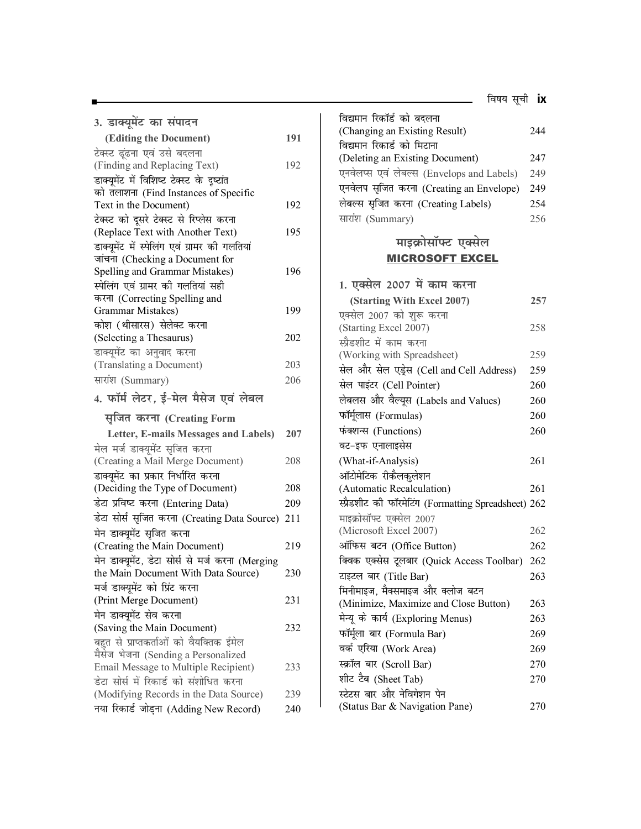| 3. डाक्यूमेंट का संपादन                                                     |     |
|-----------------------------------------------------------------------------|-----|
| (Editing the Document)                                                      | 191 |
| टेक्स्ट ढूंढना एवं उसे बदलना                                                |     |
| (Finding and Replacing Text)                                                | 192 |
| डाक्यूमेंट में विशिष्ट टेक्स्ट के दृष्टांत                                  |     |
| को तलाशना (Find Instances of Specific                                       |     |
| Text in the Document)                                                       | 192 |
| टेक्स्ट को दूसरे टेक्स्ट से रिप्लेस करना                                    |     |
| (Replace Text with Another Text)                                            | 195 |
| डाक्यूमेंट में स्पेलिंग एवं ग्रामर की गलतियां                               |     |
| जांचना (Checking a Document for                                             |     |
| Spelling and Grammar Mistakes)                                              | 196 |
| स्पेलिंग एवं ग्रामर की गलतियां सही                                          |     |
| करना (Correcting Spelling and                                               |     |
| <b>Grammar Mistakes)</b>                                                    | 199 |
| कोश (थीसारस) सेलेक्ट करना                                                   |     |
| (Selecting a Thesaurus)                                                     | 202 |
| डाक्यूमेंट का अनुवाद करना                                                   |     |
| (Translating a Document)                                                    | 203 |
| सारांश (Summary)                                                            | 206 |
| 4. फॉर्म लेटर, ई-मेल मैसेज एवं लेबल                                         |     |
| सृजित करना (Creating Form                                                   |     |
| Letter, E-mails Messages and Labels)                                        | 207 |
| मेल मर्ज डाक्यूमेंट सृजित करना                                              |     |
| (Creating a Mail Merge Document)                                            |     |
|                                                                             | 208 |
| डाक्यूमेंट का प्रकार निर्धारित करना                                         |     |
| (Deciding the Type of Document)                                             | 208 |
| डेटा प्रविष्ट करना (Entering Data)                                          | 209 |
|                                                                             | 211 |
| डेटा सोर्स सृजित करना (Creating Data Source)                                |     |
| मेन डाक्यूमेंट सृजित करना                                                   | 219 |
| (Creating the Main Document)                                                |     |
| मेन डाक्यूमेंट, डेटा सोर्स से मर्ज करना (Merging                            | 230 |
| the Main Document With Data Source)                                         |     |
| मर्ज डाक्यूमेंट को प्रिंट करना                                              | 231 |
| (Print Merge Document)                                                      |     |
| मेन डाक्यूमेंट सेव करना                                                     | 232 |
| (Saving the Main Document)                                                  |     |
| बहुत से प्राप्तकर्ताओं को वैयक्तिक ईमेल                                     |     |
| मैसेज भेजना (Sending a Personalized<br>Email Message to Multiple Recipient) | 233 |
| डेटा सोर्स में रिकार्ड को संशोधित करना                                      |     |
| (Modifying Records in the Data Source)                                      | 239 |

| विद्यमान रिकॉर्ड को बदलना                            |     |  |  |  |  |  |  |
|------------------------------------------------------|-----|--|--|--|--|--|--|
| (Changing an Existing Result)                        |     |  |  |  |  |  |  |
| विद्यमान रिकार्ड को मिटाना                           |     |  |  |  |  |  |  |
| (Deleting an Existing Document)                      |     |  |  |  |  |  |  |
| एनवेलप्स एवं लेबल्स (Envelops and Labels)            | 249 |  |  |  |  |  |  |
| एनवेलप सृजित करना (Creating an Envelope)             | 249 |  |  |  |  |  |  |
| लेबल्स सृजित करना (Creating Labels)                  | 254 |  |  |  |  |  |  |
| सारांश (Summary)                                     | 256 |  |  |  |  |  |  |
| माइक्रोसॉफ्ट एक्सेल                                  |     |  |  |  |  |  |  |
| <b>MICROSOFT EXCEL</b>                               |     |  |  |  |  |  |  |
|                                                      |     |  |  |  |  |  |  |
| 1. एक्सेल 2007 में काम करना                          |     |  |  |  |  |  |  |
| (Starting With Excel 2007)                           | 257 |  |  |  |  |  |  |
| एक्सेल 2007 को शुरू करना                             |     |  |  |  |  |  |  |
| (Starting Excel 2007)                                | 258 |  |  |  |  |  |  |
| स्प्रैडशीट में काम करना                              |     |  |  |  |  |  |  |
| (Working with Spreadsheet)                           | 259 |  |  |  |  |  |  |
| सेल और सेल एड्रेस (Cell and Cell Address)            | 259 |  |  |  |  |  |  |
| सेल पाइंटर (Cell Pointer)                            | 260 |  |  |  |  |  |  |
| लेबलस और वैल्यूस (Labels and Values)                 | 260 |  |  |  |  |  |  |
| फॉर्मूलास (Formulas)                                 | 260 |  |  |  |  |  |  |
| फंक्शन्स (Functions)                                 |     |  |  |  |  |  |  |
| वट-इफ एनालाइसेस                                      |     |  |  |  |  |  |  |
| (What-if-Analysis)                                   | 261 |  |  |  |  |  |  |
| ऑटोमेटिक रीकैलकुलेशन                                 |     |  |  |  |  |  |  |
| (Automatic Recalculation)                            | 261 |  |  |  |  |  |  |
| स्प्रैडशीट की फॉरमेटिंग (Formatting Spreadsheet) 262 |     |  |  |  |  |  |  |
| माइक्रोसॉफ्ट एक्सेल 2007                             |     |  |  |  |  |  |  |
| (Microsoft Excel 2007)                               | 262 |  |  |  |  |  |  |
| ऑफिस बटन (Office Button)                             | 262 |  |  |  |  |  |  |
| क्विक एक्सेस टूलबार (Quick Access Toolbar)           | 262 |  |  |  |  |  |  |
| टाइटल बार (Title Bar)                                | 263 |  |  |  |  |  |  |
| मिनीमाइज, मैक्समाइज और क्लोज बटन                     |     |  |  |  |  |  |  |
| (Minimize, Maximize and Close Button)                | 263 |  |  |  |  |  |  |
| मेन्यू के कार्य (Exploring Menus)                    | 263 |  |  |  |  |  |  |
| फॉर्मूला बार (Formula Bar)                           | 269 |  |  |  |  |  |  |
| वर्क एरिया (Work Area)                               | 269 |  |  |  |  |  |  |

<u> 1990 - Johann Barn, mars an t-Amerikaansk konst</u>

स्क्रॉल बार (Scroll Bar) 270 शीट टैब (Sheet Tab) 270

(Status Bar & Navigation Pane) 270

स्टेटस बार और नेविगेशन पेन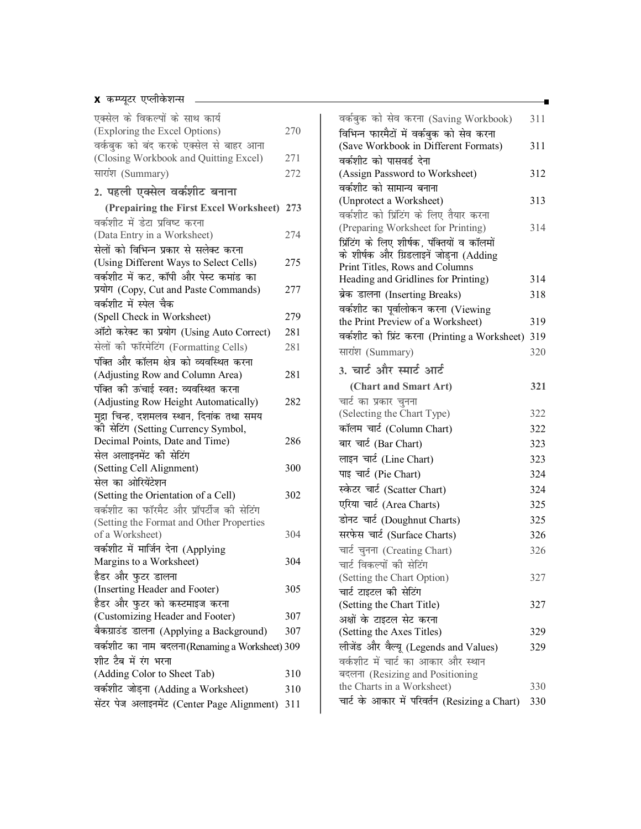#### **x** कम्प्यूटर एप्लीकेशन्स

|     | वर्कबुक को सेव करना (Sav                                                                                                                                                          |
|-----|-----------------------------------------------------------------------------------------------------------------------------------------------------------------------------------|
| 270 | विभिन्न फारमैटों में वर्कबुक व                                                                                                                                                    |
|     | (Save Workbook in Differ                                                                                                                                                          |
| 271 | वर्कशीट को पासवर्ड देना                                                                                                                                                           |
| 272 | (Assign Password to Worl                                                                                                                                                          |
|     | वर्कशीट को सामान्य बनाना                                                                                                                                                          |
|     | (Unprotect a Worksheet)                                                                                                                                                           |
|     | वर्कशीट को प्रिंटिंग के लिए                                                                                                                                                       |
|     | (Preparing Worksheet for                                                                                                                                                          |
|     | प्रिंटिंग के लिए शीर्षक, पंक्तिर                                                                                                                                                  |
| 275 | के शीर्षक और ग्रिडलाइनें जोड<br>Print Titles, Rows and Co.                                                                                                                        |
|     | Heading and Gridlines for                                                                                                                                                         |
| 277 | ब्रेक डालना (Inserting Brea                                                                                                                                                       |
|     | वर्कशीट का पूर्वालोकन करना                                                                                                                                                        |
| 279 | the Print Preview of a Wo                                                                                                                                                         |
| 281 | वर्कशीट को प्रिंट करना (Prin                                                                                                                                                      |
| 281 | सारांश (Summary)                                                                                                                                                                  |
|     |                                                                                                                                                                                   |
| 281 | 3. चार्ट और स्मार्ट आर्ट                                                                                                                                                          |
|     | (Chart and Smart Art                                                                                                                                                              |
| 282 | चार्ट का प्रकार चुनना                                                                                                                                                             |
|     | (Selecting the Chart Type)                                                                                                                                                        |
|     | कॉलम चार्ट (Column Chart                                                                                                                                                          |
|     | बार चार्ट (Bar Chart)                                                                                                                                                             |
|     | लाइन चार्ट (Line Chart)                                                                                                                                                           |
|     | पाइ चार्ट (Pie Chart)                                                                                                                                                             |
|     | स्केटर चार्ट (Scatter Chart)                                                                                                                                                      |
|     | एरिया चार्ट (Area Charts)                                                                                                                                                         |
|     | डोनट चार्ट (Doughnut Char                                                                                                                                                         |
|     | सरफेस चार्ट (Surface Chart                                                                                                                                                        |
|     |                                                                                                                                                                                   |
|     | चार्ट चुनना (Creating Chart                                                                                                                                                       |
|     | चार्ट विकल्पों की सेटिंग                                                                                                                                                          |
|     | (Setting the Chart Option)                                                                                                                                                        |
|     | चार्ट टाइटल की सेटिंग                                                                                                                                                             |
|     | (Setting the Chart Title)                                                                                                                                                         |
|     | अक्षों के टाइटल सेट करना<br>(Setting the Axes Titles)                                                                                                                             |
|     |                                                                                                                                                                                   |
|     | लीजेंड और वैल्यू (Legends:                                                                                                                                                        |
|     | वर्कशीट में चार्ट का आकार <sup>्</sup>                                                                                                                                            |
|     | बदलना (Resizing and Posi<br>the Charts in a Worksheet                                                                                                                             |
|     | चार्ट के आकार में परिवर्तन (I                                                                                                                                                     |
|     |                                                                                                                                                                                   |
|     | (Prepairing the First Excel Worksheet) 273<br>274<br>286<br>300<br>302<br>304<br>304<br>305<br>307<br>307<br>वर्कशीट का नाम बदलना (Renaming a Worksheet) 309<br>310<br>310<br>311 |

| वर्कबुक को सेव करना (Saving Workbook)         | 311 |
|-----------------------------------------------|-----|
| विभिन्न फारमैटों में वर्कबुक को सेव करना      |     |
| (Save Workbook in Different Formats)          | 311 |
| वर्कशीट को पासवर्ड देना                       |     |
| (Assign Password to Worksheet)                | 312 |
| वर्कशीट को सामान्य बनाना                      |     |
| (Unprotect a Worksheet)                       | 313 |
| वर्कशीट को प्रिंटिंग के लिए तैयार करना        |     |
| (Preparing Worksheet for Printing)            | 314 |
| प्रिंटिंग के लिए शीर्षक, पंक्तियों व कॉलमों   |     |
| के शीर्षक और ग्रिडलाइनें जोड़ना (Adding       |     |
| Print Titles, Rows and Columns                |     |
| Heading and Gridlines for Printing)           | 314 |
| ब्रेक डालना (Inserting Breaks)                | 318 |
| वर्कशीट का पूर्वालोकन करना (Viewing           |     |
| the Print Preview of a Worksheet)             | 319 |
| वर्कशीट को प्रिंट करना (Printing a Worksheet) | 319 |
| सारांश (Summary)                              | 320 |
| 3. चार्ट और स्मार्ट आर्ट                      |     |
| (Chart and Smart Art)                         | 321 |
| चार्ट का प्रकार चुनना                         |     |
| (Selecting the Chart Type)                    | 322 |
| कॉलम चार्ट (Column Chart)                     | 322 |
| बार चार्ट (Bar Chart)                         | 323 |
| लाइन चार्ट (Line Chart)                       | 323 |
| पाइ चार्ट (Pie Chart)                         | 324 |
| स्केटर चार्ट (Scatter Chart)                  | 324 |
| एरिया चार्ट (Area Charts)                     | 325 |
| डोनट चार्ट (Doughnut Charts)                  | 325 |
| सरफेस चार्ट (Surface Charts)                  | 326 |
| चार्ट चुनना (Creating Chart)                  | 326 |
| चार्ट विकल्पों की सेटिंग                      |     |
| (Setting the Chart Option)                    | 327 |
| चार्ट टाइटल की सेटिंग                         |     |
| (Setting the Chart Title)                     | 327 |
| अक्षों के टाइटल सेट करना                      |     |
| (Setting the Axes Titles)                     | 329 |
| लीजेंड और वैल्यू (Legends and Values)         | 329 |
| वर्कशीट में चार्ट का आकार और स्थान            |     |
| बदलना (Resizing and Positioning               |     |
| the Charts in a Worksheet)                    | 330 |
| चार्ट के आकार में परिवर्तन (Resizing a Chart) | 330 |